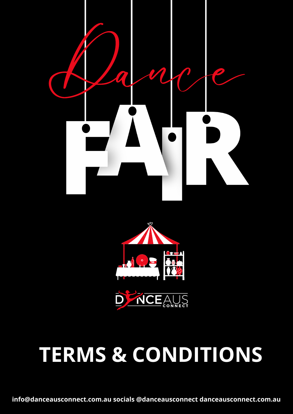





**info@danceausconnect.com.au socials @danceausconnect danceausconnect.com.au**